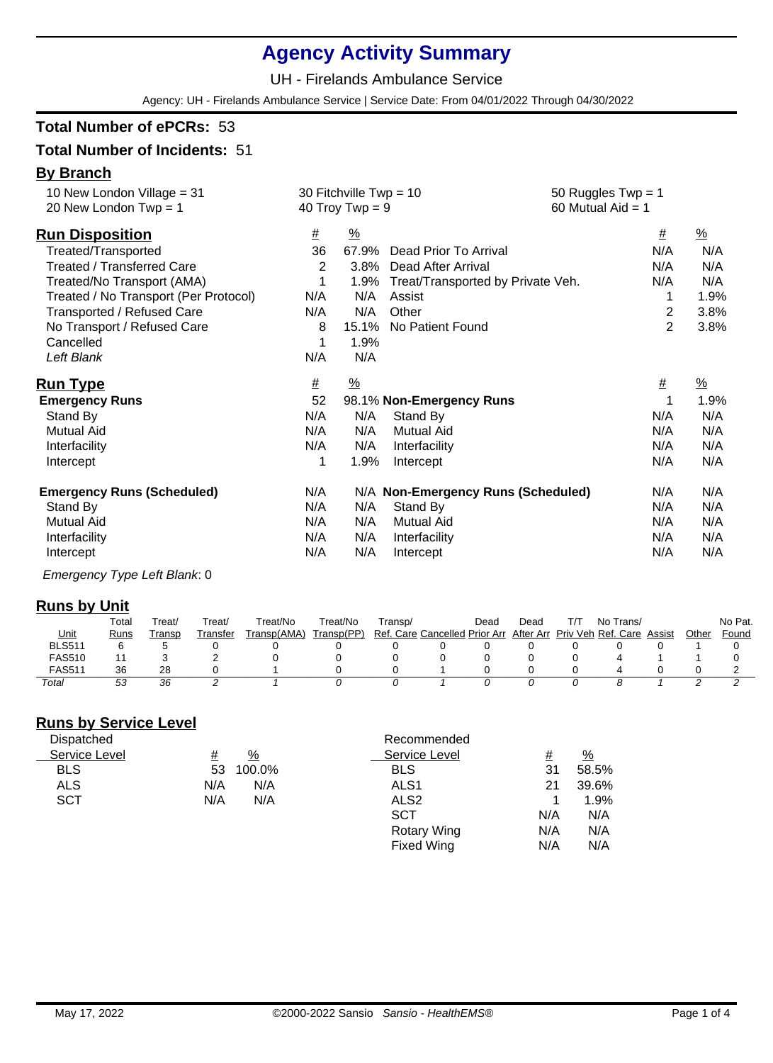# **Agency Activity Summary**

UH - Firelands Ambulance Service

Agency: UH - Firelands Ambulance Service | Service Date: From 04/01/2022 Through 04/30/2022

### **Total Number of ePCRs:** 53

### **Total Number of Incidents:** 51

#### **By Branch**

| #        | $\frac{0}{0}$ |                       | #                                                                                                          | $\frac{9}{6}$                                                                                                          |  |
|----------|---------------|-----------------------|------------------------------------------------------------------------------------------------------------|------------------------------------------------------------------------------------------------------------------------|--|
| 36       | 67.9%         | Dead Prior To Arrival | N/A                                                                                                        | N/A                                                                                                                    |  |
| 2        | 3.8%          | Dead After Arrival    | N/A                                                                                                        | N/A                                                                                                                    |  |
|          |               |                       | N/A                                                                                                        | N/A                                                                                                                    |  |
| N/A      | N/A           | Assist                | 1                                                                                                          | 1.9%                                                                                                                   |  |
| N/A      | N/A           | Other                 | $\overline{2}$                                                                                             | 3.8%                                                                                                                   |  |
| 8        | 15.1%         | No Patient Found      | $\overline{2}$                                                                                             | 3.8%                                                                                                                   |  |
|          | 1.9%          |                       |                                                                                                            |                                                                                                                        |  |
| N/A      | N/A           |                       |                                                                                                            |                                                                                                                        |  |
| <u>#</u> | $\frac{9}{6}$ |                       | #                                                                                                          | $\frac{9}{6}$                                                                                                          |  |
| 52       |               |                       | 1                                                                                                          | 1.9%                                                                                                                   |  |
| N/A      | N/A           | Stand By              | N/A                                                                                                        | N/A                                                                                                                    |  |
| N/A      | N/A           | <b>Mutual Aid</b>     | N/A                                                                                                        | N/A                                                                                                                    |  |
| N/A      | N/A           | Interfacility         | N/A                                                                                                        | N/A                                                                                                                    |  |
|          | 1.9%          | Intercept             | N/A                                                                                                        | N/A                                                                                                                    |  |
| N/A      |               |                       | N/A                                                                                                        | N/A                                                                                                                    |  |
| N/A      |               |                       | N/A                                                                                                        | N/A                                                                                                                    |  |
| N/A      | N/A           |                       | N/A                                                                                                        | N/A                                                                                                                    |  |
| N/A      | N/A           | Interfacility         | N/A                                                                                                        | N/A                                                                                                                    |  |
| N/A      | N/A           | Intercept             | N/A                                                                                                        | N/A                                                                                                                    |  |
|          |               | 1.9%<br>N/A           | 30 Fitchville Twp = $10$<br>40 Troy Twp = $9$<br>98.1% Non-Emergency Runs<br>Stand By<br><b>Mutual Aid</b> | 50 Ruggles $Twp = 1$<br>60 Mutual Aid $=$ 1<br>Treat/Transported by Private Veh.<br>N/A Non-Emergency Runs (Scheduled) |  |

Emergency Type Left Blank: 0

#### **Runs by Unit**

| --            | Total | Treat/ | ™reat/   | ⊤reat/No    | Treat/No   | ⊺ransɒ/                       | Dead | Dead      | тл. | Trans/<br>No i     |        |       | No Pat. |
|---------------|-------|--------|----------|-------------|------------|-------------------------------|------|-----------|-----|--------------------|--------|-------|---------|
| <u>Unit</u>   | Runs  | Transp | Transfer | Transp(AMA) | Transp(PP) | Ref. Care Cancelled Prior Arr |      | After Arr |     | Priv Veh Ref. Care | Assist | Other | Found   |
| BLS51         |       |        |          |             |            |                               |      |           |     |                    |        |       |         |
| <b>FAS510</b> |       |        |          |             |            |                               |      |           |     |                    |        |       |         |
| <b>FAS511</b> | 36    | 28     |          |             |            |                               |      |           |     |                    |        |       |         |
| Total         | 53    | 36     |          |             |            |                               |      |           |     |                    |        |       |         |

# **Runs by Service Level**

| Dispatched    |     |               | Recommended        |          |               |
|---------------|-----|---------------|--------------------|----------|---------------|
| Service Level | #   | $\frac{9}{6}$ | Service Level      | <u>#</u> | $\frac{9}{6}$ |
| <b>BLS</b>    | 53  | 100.0%        | <b>BLS</b>         | 31       | 58.5%         |
| <b>ALS</b>    | N/A | N/A           | ALS <sub>1</sub>   | 21       | 39.6%         |
| <b>SCT</b>    | N/A | N/A           | ALS <sub>2</sub>   |          | 1.9%          |
|               |     |               | <b>SCT</b>         | N/A      | N/A           |
|               |     |               | <b>Rotary Wing</b> | N/A      | N/A           |
|               |     |               | <b>Fixed Wing</b>  | N/A      | N/A           |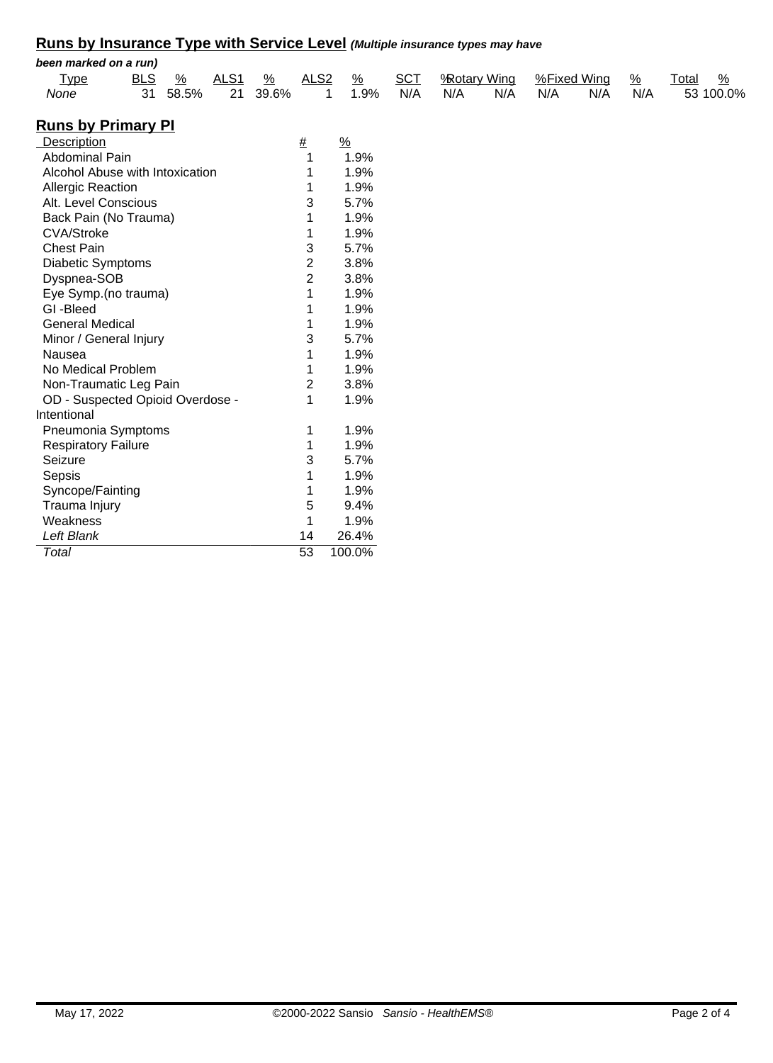# **Runs by Insurance Type with Service Level (Multiple insurance types may have**

|                                  |            |               |                  |               |                  |               |               |            |     |                    |     |             |               | <u>Karls by Illsurative Type With Octvice Level</u> (Multiple illsurative types lilay liave |
|----------------------------------|------------|---------------|------------------|---------------|------------------|---------------|---------------|------------|-----|--------------------|-----|-------------|---------------|---------------------------------------------------------------------------------------------|
| been marked on a run)            |            |               |                  |               |                  |               |               |            |     |                    |     |             |               |                                                                                             |
| <b>Type</b>                      | <b>BLS</b> | $\frac{0}{0}$ | ALS <sub>1</sub> | $\frac{9}{6}$ | ALS <sub>2</sub> |               | $\frac{9}{6}$ | <b>SCT</b> |     | <b>Rotary Wing</b> |     | %Fixed Wing | $\frac{9}{6}$ | Total                                                                                       |
| None                             | 31         | 58.5%         | 21               | 39.6%         |                  | 1             | 1.9%          | N/A        | N/A | N/A                | N/A | N/A         | N/A           | 53 100.0%                                                                                   |
| <u>Runs by Primary Pl</u>        |            |               |                  |               |                  |               |               |            |     |                    |     |             |               |                                                                                             |
| Description                      |            |               |                  |               | $\#$             | $\frac{9}{6}$ |               |            |     |                    |     |             |               |                                                                                             |
| <b>Abdominal Pain</b>            |            |               |                  |               | 1                |               | 1.9%          |            |     |                    |     |             |               |                                                                                             |
| Alcohol Abuse with Intoxication  |            |               |                  |               | 1                |               | 1.9%          |            |     |                    |     |             |               |                                                                                             |
| <b>Allergic Reaction</b>         |            |               |                  |               | 1                |               | 1.9%          |            |     |                    |     |             |               |                                                                                             |
| Alt. Level Conscious             |            |               |                  |               | 3                |               | 5.7%          |            |     |                    |     |             |               |                                                                                             |
| Back Pain (No Trauma)            |            |               |                  |               | 1                |               | 1.9%          |            |     |                    |     |             |               |                                                                                             |
| <b>CVA/Stroke</b>                |            |               |                  |               | 1                |               | 1.9%          |            |     |                    |     |             |               |                                                                                             |
| <b>Chest Pain</b>                |            |               |                  |               | 3                |               | 5.7%          |            |     |                    |     |             |               |                                                                                             |
| <b>Diabetic Symptoms</b>         |            |               |                  |               | 2                |               | 3.8%          |            |     |                    |     |             |               |                                                                                             |
| Dyspnea-SOB                      |            |               |                  |               | $\overline{2}$   |               | 3.8%          |            |     |                    |     |             |               |                                                                                             |
| Eye Symp.(no trauma)             |            |               |                  |               | 1                |               | 1.9%          |            |     |                    |     |             |               |                                                                                             |
| GI-Bleed                         |            |               |                  |               | 1                |               | 1.9%          |            |     |                    |     |             |               |                                                                                             |
| <b>General Medical</b>           |            |               |                  |               | 1                |               | 1.9%          |            |     |                    |     |             |               |                                                                                             |
| Minor / General Injury           |            |               |                  |               | 3                |               | 5.7%          |            |     |                    |     |             |               |                                                                                             |
| Nausea                           |            |               |                  |               | 1                |               | 1.9%          |            |     |                    |     |             |               |                                                                                             |
| No Medical Problem               |            |               |                  |               | 1                |               | 1.9%          |            |     |                    |     |             |               |                                                                                             |
| Non-Traumatic Leg Pain           |            |               |                  |               | 2                |               | 3.8%          |            |     |                    |     |             |               |                                                                                             |
| OD - Suspected Opioid Overdose - |            |               |                  |               | 1                |               | 1.9%          |            |     |                    |     |             |               |                                                                                             |
| Intentional                      |            |               |                  |               |                  |               |               |            |     |                    |     |             |               |                                                                                             |
| Pneumonia Symptoms               |            |               |                  |               | 1                |               | 1.9%          |            |     |                    |     |             |               |                                                                                             |
| <b>Respiratory Failure</b>       |            |               |                  |               | 1                |               | 1.9%          |            |     |                    |     |             |               |                                                                                             |
| Seizure                          |            |               |                  |               | 3                |               | 5.7%          |            |     |                    |     |             |               |                                                                                             |
| Sepsis                           |            |               |                  |               | 1                |               | 1.9%          |            |     |                    |     |             |               |                                                                                             |
| Syncope/Fainting                 |            |               |                  |               | 1                |               | 1.9%          |            |     |                    |     |             |               |                                                                                             |
| Trauma Injury                    |            |               |                  |               | 5                |               | 9.4%          |            |     |                    |     |             |               |                                                                                             |
| Weakness                         |            |               |                  |               | 1                |               | 1.9%          |            |     |                    |     |             |               |                                                                                             |
| Left Blank                       |            |               |                  |               | 14               |               | 26.4%         |            |     |                    |     |             |               |                                                                                             |
| Total                            |            |               |                  |               | $\overline{53}$  |               | 100.0%        |            |     |                    |     |             |               |                                                                                             |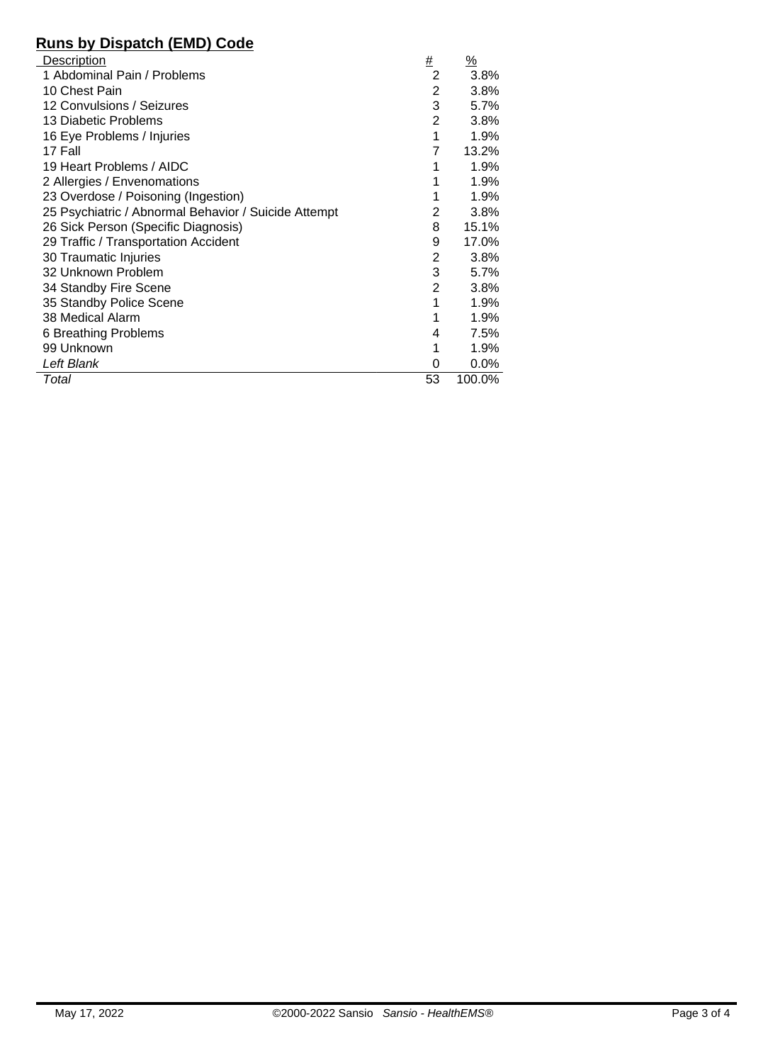# **Runs by Dispatch (EMD) Code**

| Description                                          | #              | $\frac{9}{6}$ |
|------------------------------------------------------|----------------|---------------|
| 1 Abdominal Pain / Problems                          | 2              | 3.8%          |
| 10 Chest Pain                                        | 2              | 3.8%          |
| 12 Convulsions / Seizures                            | 3              | 5.7%          |
| 13 Diabetic Problems                                 | $\overline{2}$ | 3.8%          |
| 16 Eye Problems / Injuries                           | 1              | 1.9%          |
| 17 Fall                                              | 7              | 13.2%         |
| 19 Heart Problems / AIDC                             |                | 1.9%          |
| 2 Allergies / Envenomations                          |                | 1.9%          |
| 23 Overdose / Poisoning (Ingestion)                  |                | 1.9%          |
| 25 Psychiatric / Abnormal Behavior / Suicide Attempt | 2              | 3.8%          |
| 26 Sick Person (Specific Diagnosis)                  | 8              | 15.1%         |
| 29 Traffic / Transportation Accident                 | 9              | 17.0%         |
| 30 Traumatic Injuries                                | 2              | 3.8%          |
| 32 Unknown Problem                                   | 3              | 5.7%          |
| 34 Standby Fire Scene                                | $\overline{2}$ | 3.8%          |
| 35 Standby Police Scene                              | 1              | 1.9%          |
| 38 Medical Alarm                                     | 1              | 1.9%          |
| 6 Breathing Problems                                 | 4              | 7.5%          |
| 99 Unknown                                           |                | 1.9%          |
| Left Blank                                           | 0              | $0.0\%$       |
| Total                                                | 53             | 100.0%        |